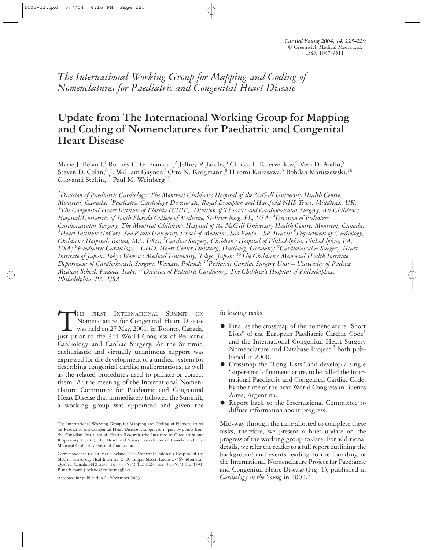*The International Working Group for Mapping and Coding of Nomenclatures for Paediatric and Congenital Heart Disease*

# **Update from The International Working Group for Mapping and Coding of Nomenclatures for Paediatric and Congenital Heart Disease**

Marie J. Béland,<sup>1</sup> Rodney C. G. Franklin,<sup>2</sup> Jeffrey P. Jacobs,<sup>3</sup> Christo I. Tchervenkov,<sup>4</sup> Vera D. Aiello,<sup>5</sup> Steven D. Colan, $^6$  J. William Gaynor, $^7$  Otto N. Krogmann, $^8$  Hiromi Kurosawa, $^9$  Bohdan Maruszewski, $^{10}$ Giovanni Stellin,<sup>11</sup> Paul M. Weinberg<sup>12</sup>

*1 Division of Paediatric Cardiology, The Montreal Children's Hospital of the McGill University Health Centre, Montreal, Canada; 2 Paediatric Cardiology Directorate, Royal Brompton and Harefield NHS Trust, Middlesex, UK; 3 The Congenital Heart Institute of Florida (CHIF), Division of Thoracic and Cardiovascular Surgery, All Children's Hospital/University of South Florida College of Medicine, St-Petersburg, FL, USA; 4 Division of Pediatric Cardiovascular Surgery, The Montreal Children's Hospital of the McGill University Health Centre, Montreal, Canada; 5 Heart Institute (InCor), Sao Paulo University School of Medicine, Sao Paulo – SP, Brazil; 6 Department of Cardiology, Children's Hospital, Boston, MA, USA; 7 Cardiac Surgery, Children's Hospital of Philadelphia, Philadelphia, PA, USA; <sup>8</sup> Paediatric Cardiology – CHD, Heart Center Duisburg, Duisburg, Germany; 9 Cardiovascular Surgery, Heart Institute of Japan, Tokyo Women's Medical University, Tokyo, Japan; 10The Children's Memorial Health Institute, Department of Cardiothoracic Surgery, Warsaw, Poland; 11Pediatric Cardiac Surgery Unit – University of Padova Medical School, Padova, Italy; 12Division of Pediatric Cardiology, The Children's Hospital of Philadelphia, Philadelphia, PA, USA*

THE FIRST INTERNATIONAL SUMMIT ON Nomenclature for Congenital Heart Disease was held on 27 May, 2001, in Toronto, Canada, just prior to the 3rd World Congress of Pediatric Nomenclature for Congenital Heart Disease was held on 27 May, 2001, in Toronto, Canada, just prior to the 3rd World Congress of Pediatric Cardiology and Cardiac Surgery. At the Summit, enthusiastic and virtually unanimous support was expressed for the development of a unified system for describing congenital cardiac malformations, as well as the related procedures used to palliate or correct them. At the meeting of the International Nomenclature Committee for Paediatric and Congenital Heart Disease that immediately followed the Summit, a working group was appointed and given the

Accepted for publication 24 November 2003

following tasks:

- Finalise the crossmap of the nomenclature "Short Lists" of the European Paediatric Cardiac Code<sup>1</sup> and the International Congenital Heart Surgery Nomenclature and Database Project,<sup>2</sup> both published in 2000.
- Crossmap the "Long Lists" and develop a single "super-tree" of nomenclature, to be called the International Paediatric and Congenital Cardiac Code, by the time of the next World Congress in Buenos Aires, Argentina.
- Report back to the International Committee to diffuse information about progress.

Mid-way through the time allotted to complete these tasks, therefore, we present a brief update on the progress of the working group to date. For additional details, we refer the reader to a full report outlining the background and events leading to the founding of the International Nomenclature Project for Paediatric and Congenital Heart Disease (Fig. 1), published in *Cardiology in the Young* in 2002.3

The International Working Group for Mapping and Coding of Nomenclatures for Paediatric and Congenital Heart Disease is supported in part by grants from the Canadian Institutes of Health Research (the Institute of Circulatory and Respiratory Health), the Heart and Stroke Foundation of Canada, and The Montreal Children's Hospital Foundation

Correspondence to: Dr Marie Béland, The Montreal Children's Hospital of the McGill University Health Centre, 2300 Tupper Street, Room D-365, Montreal, Quebec, Canada H4X 2G1. Tel: +1 (514) 412 4423; Fax: +1 (514) 412 4391; E-mail: marie.j.beland@muhc.mcgill.ca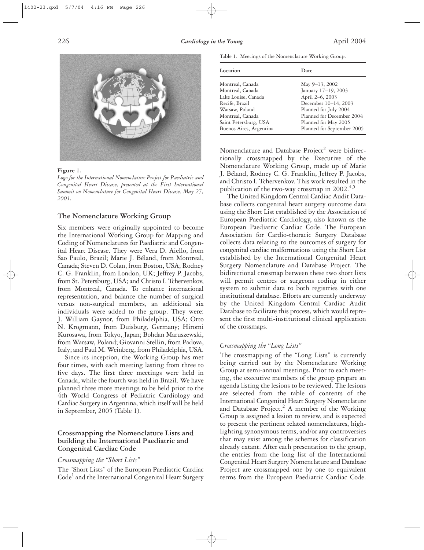

**Figure 1.**

*Logo for the International Nomenclature Project for Paediatric and Congenital Heart Disease, presented at the First International Summit on Nomenclature for Congenital Heart Disease, May 27, 2001.*

## **The Nomenclature Working Group**

Six members were originally appointed to become the International Working Group for Mapping and Coding of Nomenclatures for Paediatric and Congenital Heart Disease. They were Vera D. Aiello, from Sao Paulo, Brazil; Marie J. Béland, from Montreal, Canada; Steven D. Colan, from Boston, USA; Rodney C. G. Franklin, from London, UK; Jeffrey P. Jacobs, from St. Petersburg, USA; and Christo I. Tchervenkov, from Montreal, Canada. To enhance international representation, and balance the number of surgical versus non-surgical members, an additional six individuals were added to the group. They were: J. William Gaynor, from Philadelphia, USA; Otto N. Krogmann, from Duisburg, Germany; Hiromi Kurosawa, from Tokyo, Japan; Bohdan Maruszewski, from Warsaw, Poland; Giovanni Stellin, from Padova, Italy; and Paul M. Weinberg, from Philadelphia, USA.

Since its inception, the Working Group has met four times, with each meeting lasting from three to five days. The first three meetings were held in Canada, while the fourth was held in Brazil. We have planned three more meetings to be held prior to the 4th World Congress of Pediatric Cardiology and Cardiac Surgery in Argentina, which itself will be held in September, 2005 (Table 1).

## **Crossmapping the Nomenclature Lists and building the International Paediatric and Congenital Cardiac Code**

#### *Crossmapping the "Short Lists"*

The "Short Lists" of the European Paediatric Cardiac Code<sup>1</sup> and the International Congenital Heart Surgery

Table 1. Meetings of the Nomenclature Working Group.

| Location                | Date                       |
|-------------------------|----------------------------|
| Montreal, Canada        | May 9-13, 2002             |
| Montreal, Canada        | January 17-19, 2003        |
| Lake Louise, Canada     | April 2-6, 2003            |
| Recife, Brazil          | December 10-14, 2003       |
| Warsaw, Poland          | Planned for July 2004      |
| Montreal, Canada        | Planned for December 2004  |
| Saint Petersburg, USA   | Planned for May 2005       |
| Buenos Aires, Argentina | Planned for September 2005 |

Nomenclature and Database Project<sup>2</sup> were bidirectionally crossmapped by the Executive of the Nomenclature Working Group, made up of Marie J. Béland, Rodney C. G. Franklin, Jeffrey P. Jacobs, and Christo I. Tchervenkov. This work resulted in the publication of the two-way crossmap in  $2002<sup>4,5</sup>$ 

The United Kingdom Central Cardiac Audit Database collects congenital heart surgery outcome data using the Short List established by the Association of European Paediatric Cardiology, also known as the European Paediatric Cardiac Code. The European Association for Cardio-thoracic Surgery Database collects data relating to the outcomes of surgery for congenital cardiac malformations using the Short List established by the International Congenital Heart Surgery Nomenclature and Database Project. The bidirectional crossmap between these two short lists will permit centres or surgeons coding in either system to submit data to both registries with one institutional database. Efforts are currently underway by the United Kingdom Central Cardiac Audit Database to facilitate this process, which would represent the first multi-institutional clinical application of the crossmaps.

#### *Crossmapping the "Long Lists"*

The crossmapping of the "Long Lists" is currently being carried out by the Nomenclature Working Group at semi-annual meetings. Prior to each meeting, the executive members of the group prepare an agenda listing the lesions to be reviewed. The lesions are selected from the table of contents of the International Congenital Heart Surgery Nomenclature and Database Project.<sup>2</sup> A member of the Working Group is assigned a lesion to review, and is expected to present the pertinent related nomenclatures, highlighting synonymous terms, and/or any controversies that may exist among the schemes for classification already extant. After each presentation to the group, the entries from the long list of the International Congenital Heart Surgery Nomenclature and Database Project are crossmapped one by one to equivalent terms from the European Paediatric Cardiac Code.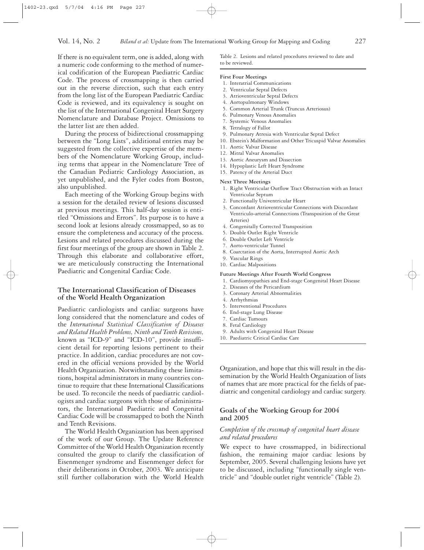## Vol. 14, No. 2 *Béland et al:* Update from The International Working Group for Mapping and Coding 227

If there is no equivalent term, one is added, along with a numeric code conforming to the method of numerical codification of the European Paediatric Cardiac Code. The process of crossmapping is then carried out in the reverse direction, such that each entry from the long list of the European Paediatric Cardiac Code is reviewed, and its equivalency is sought on the list of the International Congenital Heart Surgery Nomenclature and Database Project. Omissions to the latter list are then added.

During the process of bidirectional crossmapping between the "Long Lists", additional entries may be suggested from the collective expertise of the members of the Nomenclature Working Group, including terms that appear in the Nomenclature Tree of the Canadian Pediatric Cardiology Association, as yet unpublished, and the Fyler codes from Boston, also unpublished.

Each meeting of the Working Group begins with a session for the detailed review of lesions discussed at previous meetings. This half-day session is entitled "Omissions and Errors". Its purpose is to have a second look at lesions already crossmapped, so as to ensure the completeness and accuracy of the process. Lesions and related procedures discussed during the first four meetings of the group are shown in Table 2. Through this elaborate and collaborative effort, we are meticulously constructing the International Paediatric and Congenital Cardiac Code.

## **The International Classification of Diseases of the World Health Organization**

Paediatric cardiologists and cardiac surgeons have long considered that the nomenclature and codes of the *International Statistical Classification of Diseases and Related Health Problems, Ninth and Tenth Revisions,* known as "ICD-9" and "ICD-10", provide insufficient detail for reporting lesions pertinent to their practice. In addition, cardiac procedures are not covered in the official versions provided by the World Health Organization. Notwithstanding these limitations, hospital administrators in many countries continue to require that these International Classifications be used. To reconcile the needs of paediatric cardiologists and cardiac surgeons with those of administrators, the International Paediatric and Congenital Cardiac Code will be crossmapped to both the Ninth and Tenth Revisions.

The World Health Organization has been apprised of the work of our Group. The Update Reference Committee of the World Health Organization recently consulted the group to clarify the classification of Eisenmenger syndrome and Eisenmenger defect for their deliberations in October, 2003. We anticipate still further collaboration with the World Health

#### **First Four Meetings**

to be reviewed.

- 1. Interatrial Communications
- 2. Ventricular Septal Defects
- 3. Atrioventricular Septal Defects
- 4. Aortopulmonary Windows
- 5. Common Arterial Trunk (Truncus Arteriosus)
- 6. Pulmonary Venous Anomalies
- 7. Systemic Venous Anomalies
- 8. Tetralogy of Fallot
- 9. Pulmonary Atresia with Ventricular Septal Defect
- 10. Ebstein's Malformation and Other Tricuspid Valvar Anomalies
- 11. Aortic Valvar Disease
- 12. Mitral Valvar Anomalies
- 13. Aortic Aneurysm and Dissection
- 14. Hypoplastic Left Heart Syndrome
- 15. Patency of the Arterial Duct

## **Next Three Meetings**

- 1. Right Ventricular Outflow Tract Obstruction with an Intact Ventricular Septum
- Functionally Univentricular Heart
- 3. Concordant Atrioventricular Connections with Discordant Ventriculo-arterial Connections (Transposition of the Great Arteries)
- 4. Congenitally Corrected Transposition
- 5. Double Outlet Right Ventricle
- 6. Double Outlet Left Ventricle
- 7. Aorto-ventricular Tunnel
- 8. Coarctation of the Aorta, Interrupted Aortic Arch
- 9. Vascular Rings
- 10. Cardiac Malpositions

**Future Meetings After Fourth World Congress**

- 1. Cardiomyopathies and End-stage Congenital Heart Disease
- 2. Diseases of the Pericardium
- 3. Coronary Arterial Abnormalities
- 4. Arrhythmias
- 5. Interventional Procedures
- 6. End-stage Lung Disease
- 7. Cardiac Tumours
- 8. Fetal Cardiology
- 9. Adults with Congenital Heart Disease
- 10. Paediatric Critical Cardiac Care

Organization, and hope that this will result in the dissemination by the World Health Organization of lists of names that are more practical for the fields of paediatric and congenital cardiology and cardiac surgery.

## **Goals of the Working Group for 2004 and 2005**

## *Completion of the crossmap of congenital heart disease and related procedures*

We expect to have crossmapped, in bidirectional fashion, the remaining major cardiac lesions by September, 2005. Several challenging lesions have yet to be discussed, including "functionally single ventricle" and "double outlet right ventricle" (Table 2).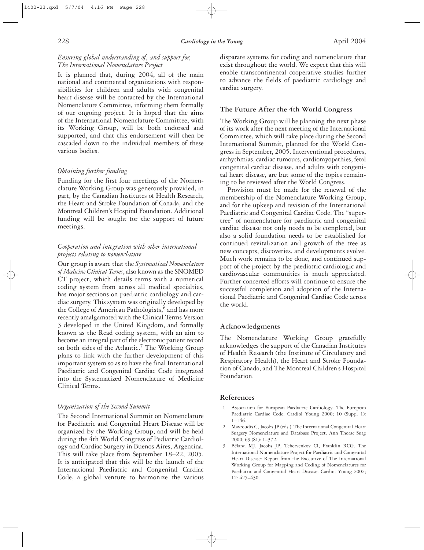# 228 **Cardiology in the Young** April 2004

## *Ensuring global understanding of, and support for, The International Nomenclature Project*

It is planned that, during 2004, all of the main national and continental organizations with responsibilities for children and adults with congenital heart disease will be contacted by the International Nomenclature Committee, informing them formally of our ongoing project. It is hoped that the aims of the International Nomenclature Committee, with its Working Group, will be both endorsed and supported, and that this endorsement will then be cascaded down to the individual members of these various bodies.

#### *Obtaining further funding*

Funding for the first four meetings of the Nomenclature Working Group was generously provided, in part, by the Canadian Institutes of Health Research, the Heart and Stroke Foundation of Canada, and the Montreal Children's Hospital Foundation. Additional funding will be sought for the support of future meetings.

## *Cooperation and integration with other international projects relating to nomenclature*

Our group is aware that the *Systematized Nomenclature of Medicine Clinical Terms*, also known as the SNOMED CT project, which details terms with a numerical coding system from across all medical specialties, has major sections on paediatric cardiology and cardiac surgery. This system was originally developed by the College of American Pathologists,<sup>6</sup> and has more recently amalgamated with the Clinical Terms Version 3 developed in the United Kingdom, and formally known as the Read coding system, with an aim to become an integral part of the electronic patient record on both sides of the Atlantic.<sup>7</sup> The Working Group plans to link with the further development of this important system so as to have the final International Paediatric and Congenital Cardiac Code integrated into the Systematized Nomenclature of Medicine Clinical Terms.

#### *Organization of the Second Summit*

The Second International Summit on Nomenclature for Paediatric and Congenital Heart Disease will be organized by the Working Group, and will be held during the 4th World Congress of Pediatric Cardiology and Cardiac Surgery in Buenos Aires, Argentina. This will take place from September 18–22, 2005. It is anticipated that this will be the launch of the International Paediatric and Congenital Cardiac Code, a global venture to harmonize the various disparate systems for coding and nomenclature that exist throughout the world. We expect that this will enable transcontinental cooperative studies further to advance the fields of paediatric cardiology and cardiac surgery.

## **The Future After the 4th World Congress**

The Working Group will be planning the next phase of its work after the next meeting of the International Committee, which will take place during the Second International Summit, planned for the World Congress in September, 2005. Interventional procedures, arrhythmias, cardiac tumours, cardiomyopathies, fetal congenital cardiac disease, and adults with congenital heart disease, are but some of the topics remaining to be reviewed after the World Congress.

Provision must be made for the renewal of the membership of the Nomenclature Working Group, and for the upkeep and revision of the International Paediatric and Congenital Cardiac Code. The "supertree" of nomenclature for paediatric and congenital cardiac disease not only needs to be completed, but also a solid foundation needs to be established for continued revitalization and growth of the tree as new concepts, discoveries, and developments evolve. Much work remains to be done, and continued support of the project by the paediatric cardiologic and cardiovascular communities is much appreciated. Further concerted efforts will continue to ensure the successful completion and adoption of the International Paediatric and Congenital Cardiac Code across the world.

## **Acknowledgments**

The Nomenclature Working Group gratefully acknowledges the support of the Canadian Institutes of Health Research (the Institute of Circulatory and Respiratory Health), the Heart and Stroke Foundation of Canada, and The Montreal Children's Hospital Foundation.

#### **References**

- 1. Association for European Paediatric Cardiology. The European Paediatric Cardiac Code. Cardiol Young 2000; 10 (Suppl 1): 1–146.
- 2. Mavroudis C, Jacobs JP (eds.). The International Congenital Heart Surgery Nomenclature and Database Project. Ann Thorac Surg 2000; 69 (S1): 1–372.
- Béland MJ, Jacobs JP, Tchervenkov CI, Franklin RCG. The International Nomenclature Project for Paediatric and Congenital Heart Disease: Report from the Executive of The International Working Group for Mapping and Coding of Nomenclatures for Paediatric and Congenital Heart Disease. Cardiol Young 2002; 12: 425–430.